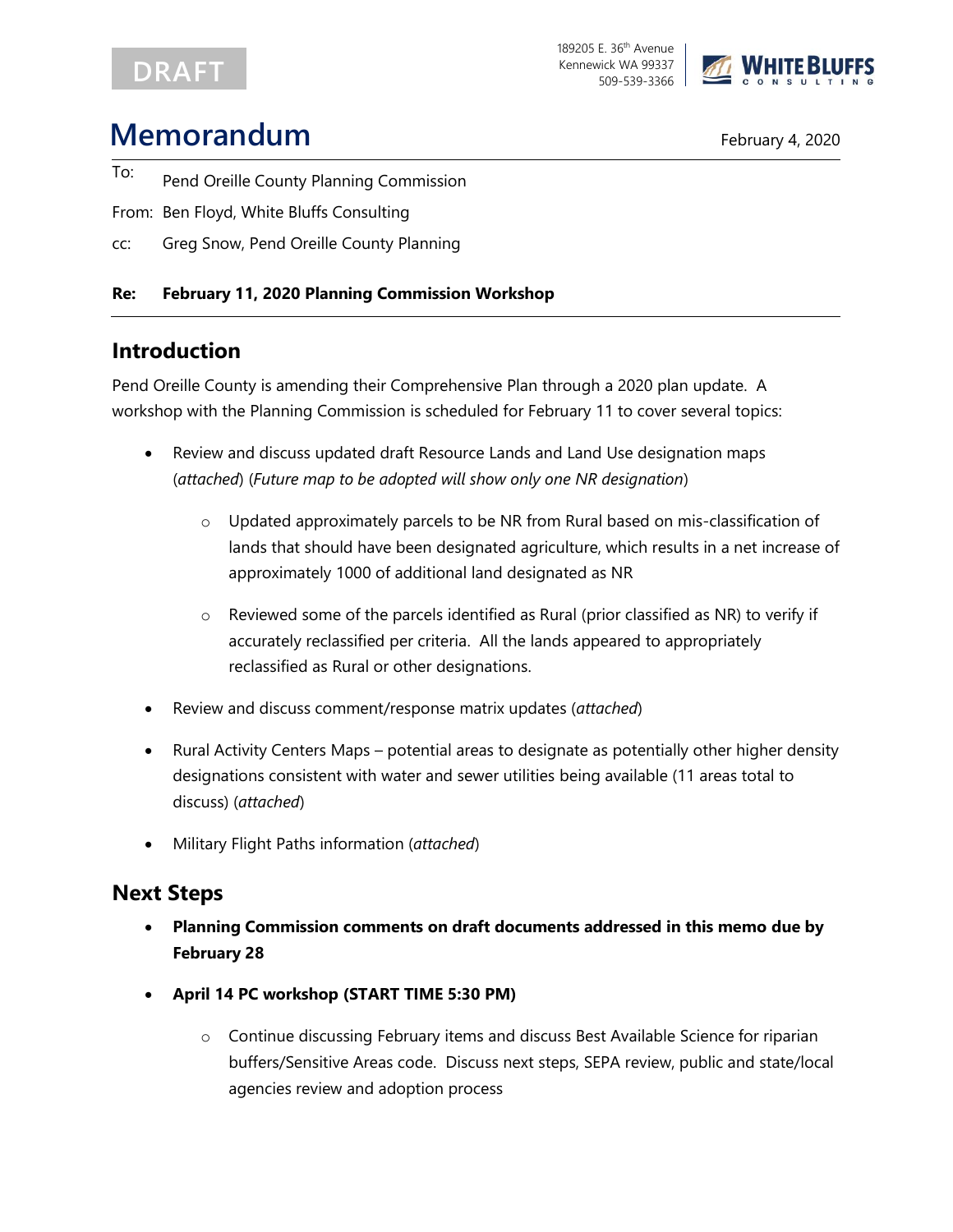## DRAFT

189205 E. 36<sup>th</sup> Avenue Kennewick WA 99337 509-539-3366



# **Memorandum** February 4, 2020

- To: Pend Oreille County Planning Commission
- From: Ben Floyd, White Bluffs Consulting
- cc: Greg Snow, Pend Oreille County Planning

#### **Re: February 11, 2020 Planning Commission Workshop**

## **Introduction**

Pend Oreille County is amending their Comprehensive Plan through a 2020 plan update. A workshop with the Planning Commission is scheduled for February 11 to cover several topics:

- Review and discuss updated draft Resource Lands and Land Use designation maps (*attached*) (*Future map to be adopted will show only one NR designation*)
	- Updated approximately parcels to be NR from Rural based on mis-classification of lands that should have been designated agriculture, which results in a net increase of approximately 1000 of additional land designated as NR
	- o Reviewed some of the parcels identified as Rural (prior classified as NR) to verify if accurately reclassified per criteria. All the lands appeared to appropriately reclassified as Rural or other designations.
- Review and discuss comment/response matrix updates (*attached*)
- Rural Activity Centers Maps potential areas to designate as potentially other higher density designations consistent with water and sewer utilities being available (11 areas total to discuss) (*attached*)
- Military Flight Paths information (*attached*)

## **Next Steps**

- **Planning Commission comments on draft documents addressed in this memo due by February 28**
- **April 14 PC workshop (START TIME 5:30 PM)**
	- o Continue discussing February items and discuss Best Available Science for riparian buffers/Sensitive Areas code. Discuss next steps, SEPA review, public and state/local agencies review and adoption process